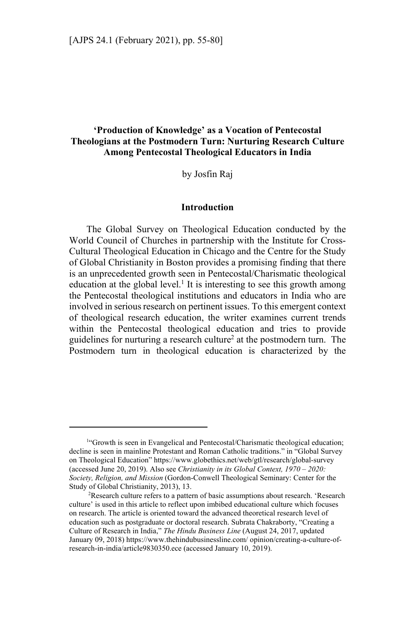# **'Production of Knowledge' as a Vocation of Pentecostal Theologians at the Postmodern Turn: Nurturing Research Culture Among Pentecostal Theological Educators in India**

by Josfin Raj

#### **Introduction**

The Global Survey on Theological Education conducted by the World Council of Churches in partnership with the Institute for Cross-Cultural Theological Education in Chicago and the Centre for the Study of Global Christianity in Boston provides a promising finding that there is an unprecedented growth seen in Pentecostal/Charismatic theological education at the global level.<sup>1</sup> It is interesting to see this growth among the Pentecostal theological institutions and educators in India who are involved in serious research on pertinent issues. To this emergent context of theological research education, the writer examines current trends within the Pentecostal theological education and tries to provide guidelines for nurturing a research culture<sup>2</sup> at the postmodern turn. The Postmodern turn in theological education is characterized by the

<sup>&</sup>lt;sup>1</sup>"Growth is seen in Evangelical and Pentecostal/Charismatic theological education; decline is seen in mainline Protestant and Roman Catholic traditions." in "Global Survey on Theological Education" https://www.globethics.net/web/gtl/research/global-survey (accessed June 20, 2019). Also see *Christianity in its Global Context, 1970 – 2020: Society, Religion, and Mission* (Gordon-Conwell Theological Seminary: Center for the Study of Global Christianity, 2013), 13.

<sup>&</sup>lt;sup>2</sup>Research culture refers to a pattern of basic assumptions about research. 'Research culture' is used in this article to reflect upon imbibed educational culture which focuses on research. The article is oriented toward the advanced theoretical research level of education such as postgraduate or doctoral research. Subrata Chakraborty, "Creating a Culture of Research in India," *The Hindu Business Line* (August 24, 2017, updated January 09, 2018) https://www.thehindubusinessline.com/ opinion/creating-a-culture-ofresearch-in-india/article9830350.ece (accessed January 10, 2019).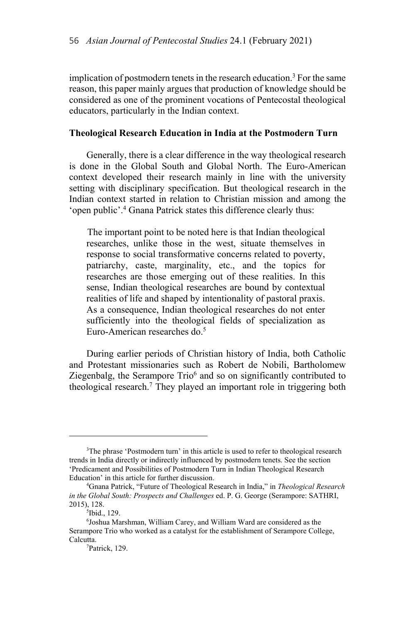implication of postmodern tenets in the research education.3 For the same reason, this paper mainly argues that production of knowledge should be considered as one of the prominent vocations of Pentecostal theological educators, particularly in the Indian context.

### **Theological Research Education in India at the Postmodern Turn**

Generally, there is a clear difference in the way theological research is done in the Global South and Global North. The Euro-American context developed their research mainly in line with the university setting with disciplinary specification. But theological research in the Indian context started in relation to Christian mission and among the 'open public'.4 Gnana Patrick states this difference clearly thus:

The important point to be noted here is that Indian theological researches, unlike those in the west, situate themselves in response to social transformative concerns related to poverty, patriarchy, caste, marginality, etc., and the topics for researches are those emerging out of these realities. In this sense, Indian theological researches are bound by contextual realities of life and shaped by intentionality of pastoral praxis. As a consequence, Indian theological researches do not enter sufficiently into the theological fields of specialization as Euro-American researches do.5

During earlier periods of Christian history of India, both Catholic and Protestant missionaries such as Robert de Nobili, Bartholomew Ziegenbalg, the Serampore  $Tri<sup>6</sup>$  and so on significantly contributed to theological research.<sup>7</sup> They played an important role in triggering both

<sup>&</sup>lt;sup>3</sup>The phrase 'Postmodern turn' in this article is used to refer to theological research trends in India directly or indirectly influenced by postmodern tenets. See the section 'Predicament and Possibilities of Postmodern Turn in Indian Theological Research Education' in this article for further discussion. 4

Gnana Patrick, "Future of Theological Research in India," in *Theological Research in the Global South: Prospects and Challenges* ed. P. G. George (Serampore: SATHRI, 2015), 128. 5

<sup>&</sup>lt;sup>5</sup>Ibid., 129.

<sup>6</sup> Joshua Marshman, William Carey, and William Ward are considered as the Serampore Trio who worked as a catalyst for the establishment of Serampore College, Calcutta.

Patrick, 129.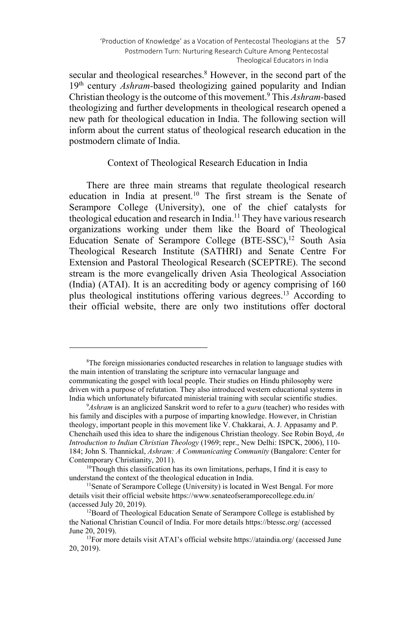'Production of Knowledge' as a Vocation of Pentecostal Theologians at the 57 Postmodern Turn: Nurturing Research Culture Among Pentecostal Theological Educators in India

secular and theological researches.<sup>8</sup> However, in the second part of the 19th century *Ashram-*based theologizing gained popularity and Indian Christian theology is the outcome of this movement.9 This *Ashram-*based theologizing and further developments in theological research opened a new path for theological education in India. The following section will inform about the current status of theological research education in the postmodern climate of India.

### Context of Theological Research Education in India

There are three main streams that regulate theological research education in India at present.<sup>10</sup> The first stream is the Senate of Serampore College (University), one of the chief catalysts for theological education and research in India.11 They have various research organizations working under them like the Board of Theological Education Senate of Serampore College (BTE-SSC),<sup>12</sup> South Asia Theological Research Institute (SATHRI) and Senate Centre For Extension and Pastoral Theological Research (SCEPTRE). The second stream is the more evangelically driven Asia Theological Association (India) (ATAI). It is an accrediting body or agency comprising of 160 plus theological institutions offering various degrees.13 According to their official website, there are only two institutions offer doctoral

<sup>&</sup>lt;sup>8</sup>The foreign missionaries conducted researches in relation to language studies with the main intention of translating the scripture into vernacular language and communicating the gospel with local people. Their studies on Hindu philosophy were driven with a purpose of refutation. They also introduced western educational systems in India which unfortunately bifurcated ministerial training with secular scientific studies. 9

*Ashram* is an anglicized Sanskrit word to refer to a *guru* (teacher) who resides with his family and disciples with a purpose of imparting knowledge. However, in Christian theology, important people in this movement like V. Chakkarai, A. J. Appasamy and P. Chenchaih used this idea to share the indigenous Christian theology. See Robin Boyd, *An Introduction to Indian Christian Theology* (1969; repr., New Delhi: ISPCK, 2006), 110- 184; John S. Thannickal, *Ashram: A Communicating Community* (Bangalore: Center for

Contemporary Christianity, 2011).<br><sup>10</sup>Though this classification has its own limitations, perhaps, I find it is easy to understand the context of the theological education in India.

<sup>&</sup>lt;sup>11</sup>Senate of Serampore College (University) is located in West Bengal. For more details visit their official website https://www.senateofseramporecollege.edu.in/ (accessed July 20, 2019).<br><sup>12</sup>Board of Theological Education Senate of Serampore College is established by

the National Christian Council of India. For more details https://btessc.org/ (accessed June 20, 2019).<br><sup>13</sup>For more details visit ATAI's official website https://ataindia.org/ (accessed June

<sup>20, 2019).</sup>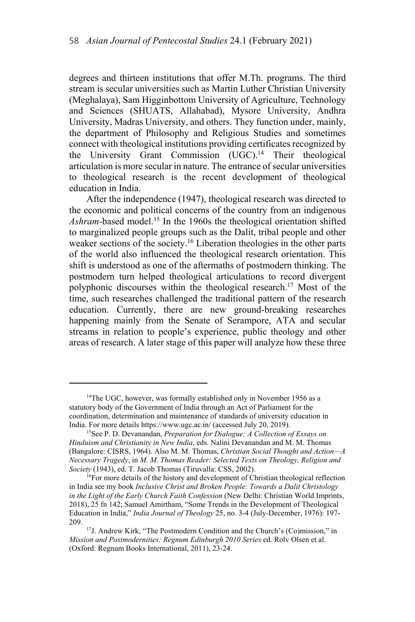degrees and thirteen institutions that offer M.Th. programs. The third stream is secular universities such as Martin Luther Christian University (Meghalaya), Sam Higginbottom University of Agriculture, Technology and Sciences (SHUATS, Allahabad), Mysore University, Andhra University, Madras University, and others. They function under, mainly, the department of Philosophy and Religious Studies and sometimes connect with theological institutions providing certificates recognized by the University Grant Commission (UGC).<sup>14</sup> Their theological articulation is more secular in nature. The entrance of secular universities to theological research is the recent development of theological education in India.

After the independence (1947), theological research was directed to the economic and political concerns of the country from an indigenous *Ashram-*based model.15 In the 1960s the theological orientation shifted to marginalized people groups such as the Dalit, tribal people and other weaker sections of the society.<sup>16</sup> Liberation theologies in the other parts of the world also influenced the theological research orientation. This shift is understood as one of the aftermaths of postmodern thinking. The postmodern turn helped theological articulations to record divergent polyphonic discourses within the theological research.17 Most of the time, such researches challenged the traditional pattern of the research education. Currently, there are new ground-breaking researches happening mainly from the Senate of Serampore, ATA and secular streams in relation to people's experience, public theology and other areas of research. A later stage of this paper will analyze how these three

 $14$ The UGC, however, was formally established only in November 1956 as a statutory body of the Government of India through an Act of Parliament for the coordination, determination and maintenance of standards of university education in India. For more details https://www.ugc.ac.in/ (accessed July 20, 2019).<br><sup>15</sup>See P. D. Devanandan, *Preparation for Dialogue: A Collection of Essays on* 

*Hinduism and Christianity in New India*, eds. Nalini Devanandan and M. M. Thomas (Bangalore: CISRS, 1964). Also M. M. Thomas, *Christian Social Thought and Action—A Necessary Tragedy*, in *M. M. Thomas Reader: Selected Texts on Theology, Religion and Society* (1943), ed. T. Jacob Thomas (Tiruvalla: CSS, 2002).

<sup>&</sup>lt;sup>16</sup>For more details of the history and development of Christian theological reflection in India see my book *Inclusive Christ and Broken People: Towards a Dalit Christology in the Light of the Early Church Faith Confession* (New Delhi: Christian World Imprints, 2018), 25 fn 142; Samuel Amirtham, "Some Trends in the Development of Theological Education in India," *India Journal of Theology* 25, no. 3-4 (July-December, 1976): 197-

<sup>209.</sup>  $17$ J. Andrew Kirk, "The Postmodern Condition and the Church's (Co)mission," in *Mission and Postmodernities: Regnum Edinburgh 2010 Series* ed. Rolv Olsen et al. (Oxford: Regnum Books International, 2011), 23-24.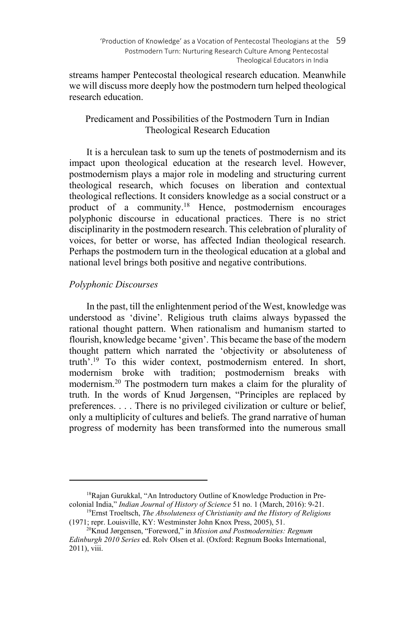streams hamper Pentecostal theological research education. Meanwhile we will discuss more deeply how the postmodern turn helped theological research education.

# Predicament and Possibilities of the Postmodern Turn in Indian Theological Research Education

It is a herculean task to sum up the tenets of postmodernism and its impact upon theological education at the research level. However, postmodernism plays a major role in modeling and structuring current theological research, which focuses on liberation and contextual theological reflections. It considers knowledge as a social construct or a product of a community.18 Hence, postmodernism encourages polyphonic discourse in educational practices. There is no strict disciplinarity in the postmodern research. This celebration of plurality of voices, for better or worse, has affected Indian theological research. Perhaps the postmodern turn in the theological education at a global and national level brings both positive and negative contributions.

# *Polyphonic Discourses*

 $\overline{\phantom{a}}$ 

In the past, till the enlightenment period of the West, knowledge was understood as 'divine'. Religious truth claims always bypassed the rational thought pattern. When rationalism and humanism started to flourish, knowledge became 'given'. This became the base of the modern thought pattern which narrated the 'objectivity or absoluteness of truth'.19 To this wider context, postmodernism entered. In short, modernism broke with tradition; postmodernism breaks with modernism.20 The postmodern turn makes a claim for the plurality of truth. In the words of Knud Jørgensen, "Principles are replaced by preferences. . . . There is no privileged civilization or culture or belief, only a multiplicity of cultures and beliefs. The grand narrative of human progress of modernity has been transformed into the numerous small

<sup>18</sup>Rajan Gurukkal, "An Introductory Outline of Knowledge Production in Precolonial India," *Indian Journal of History of Science* 51 no. 1 (March, 2016): 9-21.<br><sup>19</sup>Ernst Troeltsch, *The Absoluteness of Christianity and the History of Religions* 

<sup>(1971;</sup> repr. Louisville, KY: Westminster John Knox Press, 2005), 51. 20Knud Jørgensen, "Foreword," in *Mission and Postmodernities: Regnum* 

*Edinburgh 2010 Series* ed. Rolv Olsen et al. (Oxford: Regnum Books International, 2011), viii.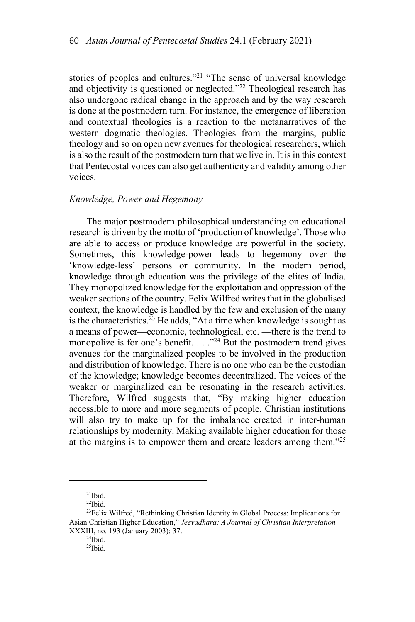stories of peoples and cultures."<sup>21</sup> "The sense of universal knowledge and objectivity is questioned or neglected."<sup>22</sup> Theological research has also undergone radical change in the approach and by the way research is done at the postmodern turn. For instance, the emergence of liberation and contextual theologies is a reaction to the metanarratives of the western dogmatic theologies. Theologies from the margins, public theology and so on open new avenues for theological researchers, which is also the result of the postmodern turn that we live in. It is in this context that Pentecostal voices can also get authenticity and validity among other voices.

#### *Knowledge, Power and Hegemony*

The major postmodern philosophical understanding on educational research is driven by the motto of 'production of knowledge'. Those who are able to access or produce knowledge are powerful in the society. Sometimes, this knowledge-power leads to hegemony over the 'knowledge-less' persons or community. In the modern period, knowledge through education was the privilege of the elites of India. They monopolized knowledge for the exploitation and oppression of the weaker sections of the country. Felix Wilfred writes that in the globalised context, the knowledge is handled by the few and exclusion of the many is the characteristics.<sup>23</sup> He adds, "At a time when knowledge is sought as a means of power—economic, technological, etc. —there is the trend to monopolize is for one's benefit.  $\ldots$ <sup>24</sup> But the postmodern trend gives avenues for the marginalized peoples to be involved in the production and distribution of knowledge. There is no one who can be the custodian of the knowledge; knowledge becomes decentralized. The voices of the weaker or marginalized can be resonating in the research activities. Therefore, Wilfred suggests that, "By making higher education accessible to more and more segments of people, Christian institutions will also try to make up for the imbalance created in inter-human relationships by modernity. Making available higher education for those at the margins is to empower them and create leaders among them."<sup>25</sup>

 $^{21}$ Ibid.

 $22$ Ibid.

<sup>&</sup>lt;sup>23</sup>Felix Wilfred, "Rethinking Christian Identity in Global Process: Implications for Asian Christian Higher Education," *Jeevadhara: A Journal of Christian Interpretation* XXXIII, no. 193 (January 2003): 37. 24Ibid.

 $25$ Ibid.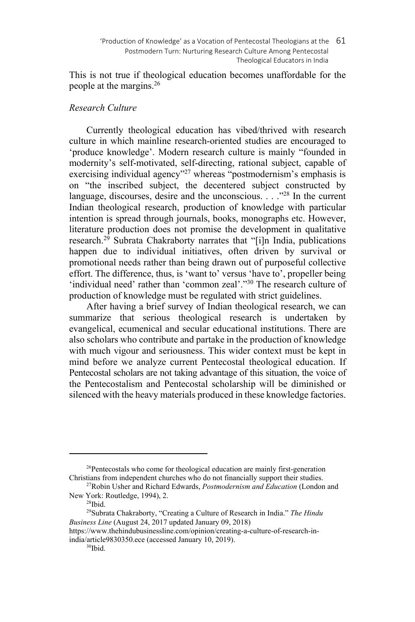This is not true if theological education becomes unaffordable for the people at the margins.26

# *Research Culture*

Currently theological education has vibed/thrived with research culture in which mainline research-oriented studies are encouraged to 'produce knowledge'. Modern research culture is mainly "founded in modernity's self-motivated, self-directing, rational subject, capable of exercising individual agency"<sup>27</sup> whereas "postmodernism's emphasis is on "the inscribed subject, the decentered subject constructed by language, discourses, desire and the unconscious.  $\ldots$ <sup>28</sup>. In the current Indian theological research, production of knowledge with particular intention is spread through journals, books, monographs etc. However, literature production does not promise the development in qualitative research.<sup>29</sup> Subrata Chakraborty narrates that "[i]n India, publications happen due to individual initiatives, often driven by survival or promotional needs rather than being drawn out of purposeful collective effort. The difference, thus, is 'want to' versus 'have to', propeller being 'individual need' rather than 'common zeal'."30 The research culture of production of knowledge must be regulated with strict guidelines.

After having a brief survey of Indian theological research, we can summarize that serious theological research is undertaken by evangelical, ecumenical and secular educational institutions. There are also scholars who contribute and partake in the production of knowledge with much vigour and seriousness. This wider context must be kept in mind before we analyze current Pentecostal theological education. If Pentecostal scholars are not taking advantage of this situation, the voice of the Pentecostalism and Pentecostal scholarship will be diminished or silenced with the heavy materials produced in these knowledge factories.

 $26$ Pentecostals who come for theological education are mainly first-generation Christians from independent churches who do not financially support their studies.

<sup>&</sup>lt;sup>27</sup>Robin Usher and Richard Edwards, *Postmodernism and Education* (London and New York: Routledge, 1994), 2.<br><sup>28</sup>Ibid.

<sup>29</sup>Subrata Chakraborty, "Creating a Culture of Research in India." *The Hindu Business Line* (August 24, 2017 updated January 09, 2018)

https://www.thehindubusinessline.com/opinion/creating-a-culture-of-research-inindia/article9830350.ece (accessed January 10, 2019).<br><sup>30</sup>Ibid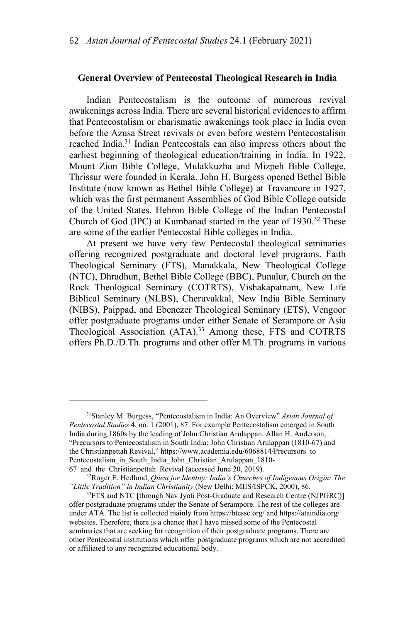#### **General Overview of Pentecostal Theological Research in India**

Indian Pentecostalism is the outcome of numerous revival awakenings across India. There are several historical evidences to affirm that Pentecostalism or charismatic awakenings took place in India even before the Azusa Street revivals or even before western Pentecostalism reached India.31 Indian Pentecostals can also impress others about the earliest beginning of theological education/training in India. In 1922, Mount Zion Bible College, Mulakkuzha and Mizpeh Bible College, Thrissur were founded in Kerala. John H. Burgess opened Bethel Bible Institute (now known as Bethel Bible College) at Travancore in 1927, which was the first permanent Assemblies of God Bible College outside of the United States. Hebron Bible College of the Indian Pentecostal Church of God (IPC) at Kumbanad started in the year of 1930.<sup>32</sup> These are some of the earlier Pentecostal Bible colleges in India.

At present we have very few Pentecostal theological seminaries offering recognized postgraduate and doctoral level programs. Faith Theological Seminary (FTS), Manakkala, New Theological College (NTC), Dhradhun, Bethel Bible College (BBC), Punalur, Church on the Rock Theological Seminary (COTRTS), Vishakapatnam, New Life Biblical Seminary (NLBS), Cheruvakkal, New India Bible Seminary (NIBS), Paippad, and Ebenezer Theological Seminary (ETS), Vengoor offer postgraduate programs under either Senate of Serampore or Asia Theological Association (ATA).<sup>33</sup> Among these, FTS and COTRTS offers Ph.D./D.Th. programs and other offer M.Th. programs in various

<sup>31</sup>Stanley M. Burgess, "Pentecostalism in India: An Overview" *Asian Journal of Pentecostal Studies* 4, no. 1 (2001), 87. For example Pentecostalism emerged in South India during 1860s by the leading of John Christian Arulappan. Allan H. Anderson, "Precursors to Pentecostalism in South India: John Christian Arulappan (1810-67) and the Christianpettah Revival," https://www.academia.edu/6068814/Precursors\_to Pentecostalism\_in\_South\_India\_John\_Christian\_Arulappan\_1810-

<sup>67</sup>\_and\_the\_Christianpettah\_Revival (accessed June 20, 2019). 32Roger E. Hedlund, *Quest for Identity: India's Churches of Indigenous Origin: The "Little Tradition" in Indian Christianity* (New Delhi: MIIS/ISPCK, 2000), 86.

<sup>&</sup>lt;sup>33</sup> FTS and NTC [through Nav Jyoti Post-Graduate and Research Centre (NJPGRC)] offer postgraduate programs under the Senate of Serampore. The rest of the colleges are under ATA. The list is collected mainly from https://btessc.org/ and https://ataindia.org/ websites. Therefore, there is a chance that I have missed some of the Pentecostal seminaries that are seeking for recognition of their postgraduate programs. There are other Pentecostal institutions which offer postgraduate programs which are not accredited or affiliated to any recognized educational body.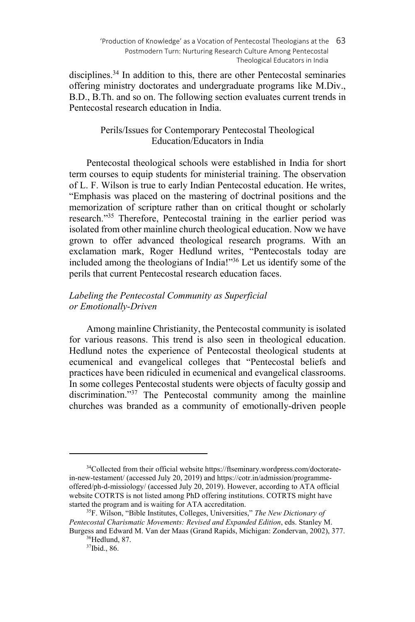'Production of Knowledge' as a Vocation of Pentecostal Theologians at the 63 Postmodern Turn: Nurturing Research Culture Among Pentecostal Theological Educators in India

disciplines.<sup>34</sup> In addition to this, there are other Pentecostal seminaries offering ministry doctorates and undergraduate programs like M.Div., B.D., B.Th. and so on. The following section evaluates current trends in Pentecostal research education in India.

# Perils/Issues for Contemporary Pentecostal Theological Education/Educators in India

Pentecostal theological schools were established in India for short term courses to equip students for ministerial training. The observation of L. F. Wilson is true to early Indian Pentecostal education. He writes, "Emphasis was placed on the mastering of doctrinal positions and the memorization of scripture rather than on critical thought or scholarly research."35 Therefore, Pentecostal training in the earlier period was isolated from other mainline church theological education. Now we have grown to offer advanced theological research programs. With an exclamation mark, Roger Hedlund writes, "Pentecostals today are included among the theologians of India!"36 Let us identify some of the perils that current Pentecostal research education faces.

# *Labeling the Pentecostal Community as Superficial or Emotionally-Driven*

Among mainline Christianity, the Pentecostal community is isolated for various reasons. This trend is also seen in theological education. Hedlund notes the experience of Pentecostal theological students at ecumenical and evangelical colleges that "Pentecostal beliefs and practices have been ridiculed in ecumenical and evangelical classrooms. In some colleges Pentecostal students were objects of faculty gossip and discrimination."<sup>37</sup> The Pentecostal community among the mainline churches was branded as a community of emotionally-driven people

<sup>&</sup>lt;sup>34</sup>Collected from their official website https://ftseminary.wordpress.com/doctoratein-new-testament/ (accessed July 20, 2019) and https://cotr.in/admission/programmeoffered/ph-d-missiology/ (accessed July 20, 2019). However, according to ATA official website COTRTS is not listed among PhD offering institutions. COTRTS might have started the program and is waiting for ATA accreditation.<br><sup>35</sup>F. Wilson, "Bible Institutes, Colleges, Universities," *The New Dictionary of* 

*Pentecostal Charismatic Movements: Revised and Expanded Edition*, eds. Stanley M. Burgess and Edward M. Van der Maas (Grand Rapids, Michigan: Zondervan, 2002), 377.<br><sup>36</sup>Hedlund, 87.

<sup>37</sup>Ibid., 86.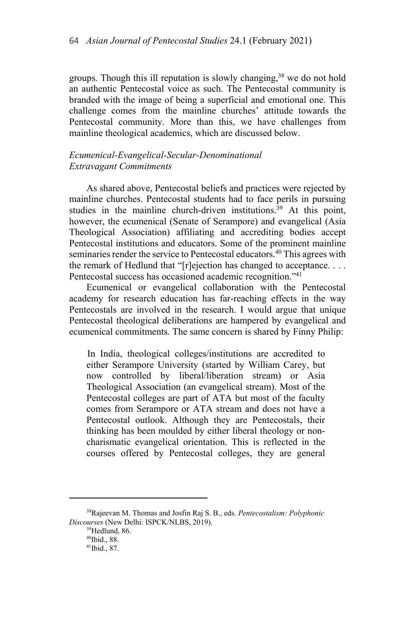groups. Though this ill reputation is slowly changing,<sup>38</sup> we do not hold an authentic Pentecostal voice as such. The Pentecostal community is branded with the image of being a superficial and emotional one. This challenge comes from the mainline churches' attitude towards the Pentecostal community. More than this, we have challenges from mainline theological academics, which are discussed below.

# *Ecumenical-Evangelical-Secular-Denominational Extravagant Commitments*

As shared above, Pentecostal beliefs and practices were rejected by mainline churches. Pentecostal students had to face perils in pursuing studies in the mainline church-driven institutions.<sup>39</sup> At this point, however, the ecumenical (Senate of Serampore) and evangelical (Asia Theological Association) affiliating and accrediting bodies accept Pentecostal institutions and educators. Some of the prominent mainline seminaries render the service to Pentecostal educators.<sup>40</sup> This agrees with the remark of Hedlund that "[r]ejection has changed to acceptance. . . . Pentecostal success has occasioned academic recognition."<sup>41</sup>

Ecumenical or evangelical collaboration with the Pentecostal academy for research education has far-reaching effects in the way Pentecostals are involved in the research. I would argue that unique Pentecostal theological deliberations are hampered by evangelical and ecumenical commitments. The same concern is shared by Finny Philip:

In India, theological colleges/institutions are accredited to either Serampore University (started by William Carey, but now controlled by liberal/liberation stream) or Asia Theological Association (an evangelical stream). Most of the Pentecostal colleges are part of ATA but most of the faculty comes from Serampore or ATA stream and does not have a Pentecostal outlook. Although they are Pentecostals, their thinking has been moulded by either liberal theology or noncharismatic evangelical orientation. This is reflected in the courses offered by Pentecostal colleges, they are general

<sup>38</sup>Rajeevan M. Thomas and Josfin Raj S. B., eds. *Pentecostalism: Polyphonic Discourses* (New Delhi: ISPCK/NLBS, 2019).<br><sup>39</sup>Hedlund, 86.

<sup>40</sup>Ibid., 88.

<sup>41</sup>Ibid., 87.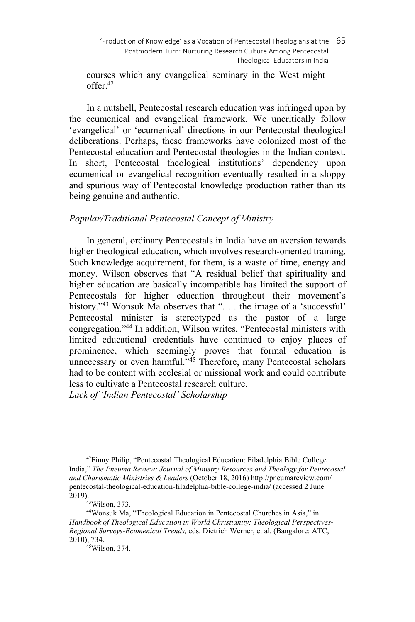courses which any evangelical seminary in the West might offer.42

In a nutshell, Pentecostal research education was infringed upon by the ecumenical and evangelical framework. We uncritically follow 'evangelical' or 'ecumenical' directions in our Pentecostal theological deliberations. Perhaps, these frameworks have colonized most of the Pentecostal education and Pentecostal theologies in the Indian context. In short, Pentecostal theological institutions' dependency upon ecumenical or evangelical recognition eventually resulted in a sloppy and spurious way of Pentecostal knowledge production rather than its being genuine and authentic.

# *Popular/Traditional Pentecostal Concept of Ministry*

In general, ordinary Pentecostals in India have an aversion towards higher theological education, which involves research-oriented training. Such knowledge acquirement, for them, is a waste of time, energy and money. Wilson observes that "A residual belief that spirituality and higher education are basically incompatible has limited the support of Pentecostals for higher education throughout their movement's history."<sup>43</sup> Wonsuk Ma observes that ". . . the image of a 'successful' Pentecostal minister is stereotyped as the pastor of a large congregation."44 In addition, Wilson writes, "Pentecostal ministers with limited educational credentials have continued to enjoy places of prominence, which seemingly proves that formal education is unnecessary or even harmful."<sup>45</sup> Therefore, many Pentecostal scholars had to be content with ecclesial or missional work and could contribute less to cultivate a Pentecostal research culture.

*Lack of 'Indian Pentecostal' Scholarship* 

<sup>&</sup>lt;sup>42</sup>Finny Philip, "Pentecostal Theological Education: Filadelphia Bible College India," *The Pneuma Review: Journal of Ministry Resources and Theology for Pentecostal and Charismatic Ministries & Leaders* (October 18, 2016) http://pneumareview.com/ pentecostal-theological-education-filadelphia-bible-college-india/ (accessed 2 June 2019).<br><sup>43</sup>Wilson, 373.

<sup>44</sup>Wonsuk Ma, "Theological Education in Pentecostal Churches in Asia," in *Handbook of Theological Education in World Christianity: Theological Perspectives-Regional Surveys-Ecumenical Trends,* eds. Dietrich Werner, et al. (Bangalore: ATC, 2010), 734.<br><sup>45</sup>Wilson, 374.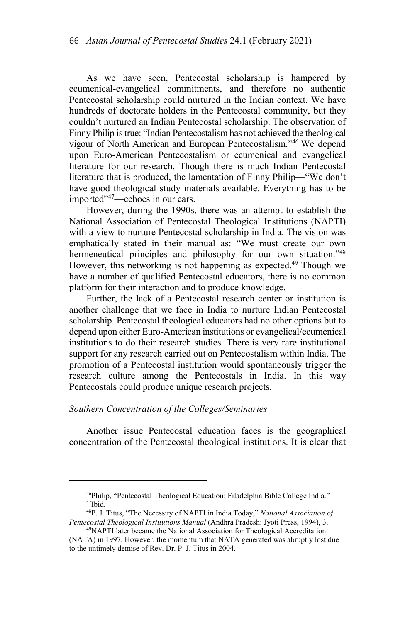As we have seen, Pentecostal scholarship is hampered by ecumenical-evangelical commitments, and therefore no authentic Pentecostal scholarship could nurtured in the Indian context. We have hundreds of doctorate holders in the Pentecostal community, but they couldn't nurtured an Indian Pentecostal scholarship. The observation of Finny Philip is true: "Indian Pentecostalism has not achieved the theological vigour of North American and European Pentecostalism."46 We depend upon Euro-American Pentecostalism or ecumenical and evangelical literature for our research. Though there is much Indian Pentecostal literature that is produced, the lamentation of Finny Philip—"We don't have good theological study materials available. Everything has to be imported"47—echoes in our ears.

However, during the 1990s, there was an attempt to establish the National Association of Pentecostal Theological Institutions (NAPTI) with a view to nurture Pentecostal scholarship in India. The vision was emphatically stated in their manual as: "We must create our own hermeneutical principles and philosophy for our own situation."<sup>48</sup> However, this networking is not happening as expected.<sup>49</sup> Though we have a number of qualified Pentecostal educators, there is no common platform for their interaction and to produce knowledge.

Further, the lack of a Pentecostal research center or institution is another challenge that we face in India to nurture Indian Pentecostal scholarship. Pentecostal theological educators had no other options but to depend upon either Euro-American institutions or evangelical/ecumenical institutions to do their research studies. There is very rare institutional support for any research carried out on Pentecostalism within India. The promotion of a Pentecostal institution would spontaneously trigger the research culture among the Pentecostals in India. In this way Pentecostals could produce unique research projects.

## *Southern Concentration of the Colleges/Seminaries*

 $\overline{\phantom{a}}$ 

Another issue Pentecostal education faces is the geographical concentration of the Pentecostal theological institutions. It is clear that

 $46$ Philip, "Pentecostal Theological Education: Filadelphia Bible College India."<br> $47$ Ibid.

<sup>48</sup>P. J. Titus, "The Necessity of NAPTI in India Today," *National Association of Pentecostal Theological Institutions Manual* (Andhra Pradesh: Jyoti Press, 1994), 3. 49NAPTI later became the National Association for Theological Accreditation

<sup>(</sup>NATA) in 1997. However, the momentum that NATA generated was abruptly lost due to the untimely demise of Rev. Dr. P. J. Titus in 2004.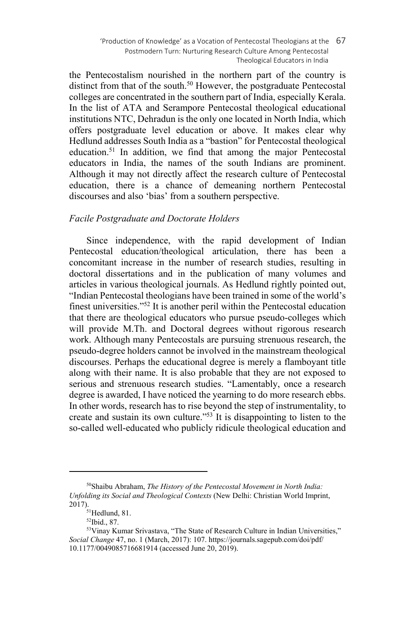'Production of Knowledge' as a Vocation of Pentecostal Theologians at the 67 Postmodern Turn: Nurturing Research Culture Among Pentecostal Theological Educators in India

the Pentecostalism nourished in the northern part of the country is distinct from that of the south.<sup>50</sup> However, the postgraduate Pentecostal colleges are concentrated in the southern part of India, especially Kerala. In the list of ATA and Serampore Pentecostal theological educational institutions NTC, Dehradun is the only one located in North India, which offers postgraduate level education or above. It makes clear why Hedlund addresses South India as a "bastion" for Pentecostal theological education.51 In addition, we find that among the major Pentecostal educators in India, the names of the south Indians are prominent. Although it may not directly affect the research culture of Pentecostal education, there is a chance of demeaning northern Pentecostal discourses and also 'bias' from a southern perspective.

#### *Facile Postgraduate and Doctorate Holders*

Since independence, with the rapid development of Indian Pentecostal education/theological articulation, there has been a concomitant increase in the number of research studies, resulting in doctoral dissertations and in the publication of many volumes and articles in various theological journals. As Hedlund rightly pointed out, "Indian Pentecostal theologians have been trained in some of the world's finest universities."52 It is another peril within the Pentecostal education that there are theological educators who pursue pseudo-colleges which will provide M.Th. and Doctoral degrees without rigorous research work. Although many Pentecostals are pursuing strenuous research, the pseudo-degree holders cannot be involved in the mainstream theological discourses. Perhaps the educational degree is merely a flamboyant title along with their name. It is also probable that they are not exposed to serious and strenuous research studies. "Lamentably, once a research degree is awarded, I have noticed the yearning to do more research ebbs. In other words, research has to rise beyond the step of instrumentality, to create and sustain its own culture."<sup>53</sup> It is disappointing to listen to the so-called well-educated who publicly ridicule theological education and

<sup>50</sup>Shaibu Abraham, *The History of the Pentecostal Movement in North India: Unfolding its Social and Theological Contexts* (New Delhi: Christian World Imprint,  $2017$ ).<br><sup>51</sup>Hedlund, 81.

<sup>52</sup>Ibid., 87.

<sup>53</sup>Vinay Kumar Srivastava, "The State of Research Culture in Indian Universities," *Social Change* 47, no. 1 (March, 2017): 107. https://journals.sagepub.com/doi/pdf/ 10.1177/0049085716681914 (accessed June 20, 2019).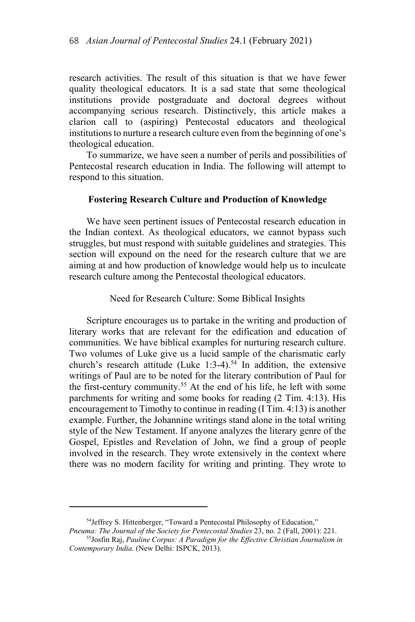research activities. The result of this situation is that we have fewer quality theological educators. It is a sad state that some theological institutions provide postgraduate and doctoral degrees without accompanying serious research. Distinctively, this article makes a clarion call to (aspiring) Pentecostal educators and theological institutions to nurture a research culture even from the beginning of one's theological education.

To summarize, we have seen a number of perils and possibilities of Pentecostal research education in India. The following will attempt to respond to this situation.

### **Fostering Research Culture and Production of Knowledge**

We have seen pertinent issues of Pentecostal research education in the Indian context. As theological educators, we cannot bypass such struggles, but must respond with suitable guidelines and strategies. This section will expound on the need for the research culture that we are aiming at and how production of knowledge would help us to inculcate research culture among the Pentecostal theological educators.

### Need for Research Culture: Some Biblical Insights

Scripture encourages us to partake in the writing and production of literary works that are relevant for the edification and education of communities. We have biblical examples for nurturing research culture. Two volumes of Luke give us a lucid sample of the charismatic early church's research attitude (Luke 1:3-4).<sup>54</sup> In addition, the extensive writings of Paul are to be noted for the literary contribution of Paul for the first-century community.55 At the end of his life, he left with some parchments for writing and some books for reading (2 Tim. 4:13). His encouragement to Timothy to continue in reading (I Tim. 4:13) is another example. Further, the Johannine writings stand alone in the total writing style of the New Testament. If anyone analyzes the literary genre of the Gospel, Epistles and Revelation of John, we find a group of people involved in the research. They wrote extensively in the context where there was no modern facility for writing and printing. They wrote to

<sup>&</sup>lt;sup>54</sup>Jeffrey S. Hittenberger, "Toward a Pentecostal Philosophy of Education,"

*Pneuma: The Journal of the Society for Pentecostal Studies* 23, no. 2 (Fall, 2001): 221.<br><sup>55</sup>Josfin Raj, *Pauline Corpus: A Paradigm for the Effective Christian Journalism in Contemporary India.* (New Delhi: ISPCK, 2013).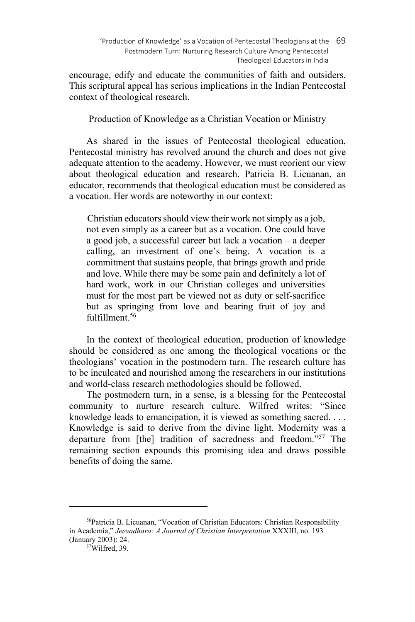encourage, edify and educate the communities of faith and outsiders. This scriptural appeal has serious implications in the Indian Pentecostal context of theological research.

Production of Knowledge as a Christian Vocation or Ministry

As shared in the issues of Pentecostal theological education, Pentecostal ministry has revolved around the church and does not give adequate attention to the academy. However, we must reorient our view about theological education and research. Patricia B. Licuanan, an educator, recommends that theological education must be considered as a vocation. Her words are noteworthy in our context:

Christian educators should view their work not simply as a job, not even simply as a career but as a vocation. One could have a good job, a successful career but lack a vocation – a deeper calling, an investment of one's being. A vocation is a commitment that sustains people, that brings growth and pride and love. While there may be some pain and definitely a lot of hard work, work in our Christian colleges and universities must for the most part be viewed not as duty or self-sacrifice but as springing from love and bearing fruit of joy and fulfillment<sup>56</sup>

In the context of theological education, production of knowledge should be considered as one among the theological vocations or the theologians' vocation in the postmodern turn. The research culture has to be inculcated and nourished among the researchers in our institutions and world-class research methodologies should be followed.

The postmodern turn, in a sense, is a blessing for the Pentecostal community to nurture research culture. Wilfred writes: "Since knowledge leads to emancipation, it is viewed as something sacred. . . . Knowledge is said to derive from the divine light. Modernity was a departure from [the] tradition of sacredness and freedom."57 The remaining section expounds this promising idea and draws possible benefits of doing the same.

<sup>56</sup>Patricia B. Licuanan, "Vocation of Christian Educators: Christian Responsibility in Academia," *Jeevadhara: A Journal of Christian Interpretation* XXXIII, no. 193 (January 2003): 24.<br><sup>57</sup>Wilfred, 39.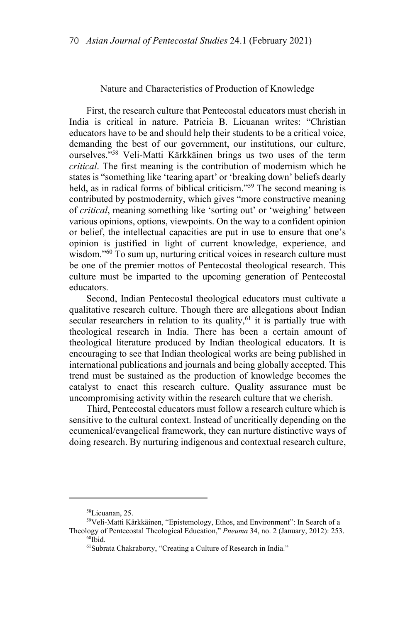#### Nature and Characteristics of Production of Knowledge

First, the research culture that Pentecostal educators must cherish in India is critical in nature. Patricia B. Licuanan writes: "Christian educators have to be and should help their students to be a critical voice, demanding the best of our government, our institutions, our culture, ourselves."58 Veli-Matti Kärkkäinen brings us two uses of the term *critical*. The first meaning is the contribution of modernism which he states is "something like 'tearing apart' or 'breaking down' beliefs dearly held, as in radical forms of biblical criticism."59 The second meaning is contributed by postmodernity, which gives "more constructive meaning of *critical*, meaning something like 'sorting out' or 'weighing' between various opinions, options, viewpoints. On the way to a confident opinion or belief, the intellectual capacities are put in use to ensure that one's opinion is justified in light of current knowledge, experience, and wisdom."<sup>60</sup> To sum up, nurturing critical voices in research culture must be one of the premier mottos of Pentecostal theological research. This culture must be imparted to the upcoming generation of Pentecostal educators.

Second, Indian Pentecostal theological educators must cultivate a qualitative research culture. Though there are allegations about Indian secular researchers in relation to its quality,  $61$  it is partially true with theological research in India. There has been a certain amount of theological literature produced by Indian theological educators. It is encouraging to see that Indian theological works are being published in international publications and journals and being globally accepted. This trend must be sustained as the production of knowledge becomes the catalyst to enact this research culture. Quality assurance must be uncompromising activity within the research culture that we cherish.

Third, Pentecostal educators must follow a research culture which is sensitive to the cultural context. Instead of uncritically depending on the ecumenical/evangelical framework, they can nurture distinctive ways of doing research. By nurturing indigenous and contextual research culture,

<sup>58</sup>Licuanan, 25.

<sup>59</sup>Veli-Matti Kärkkäinen, "Epistemology, Ethos, and Environment": In Search of a Theology of Pentecostal Theological Education," *Pneuma* 34, no. 2 (January, 2012): 253. <sup>60</sup>Ibid.

<sup>61</sup>Subrata Chakraborty, "Creating a Culture of Research in India."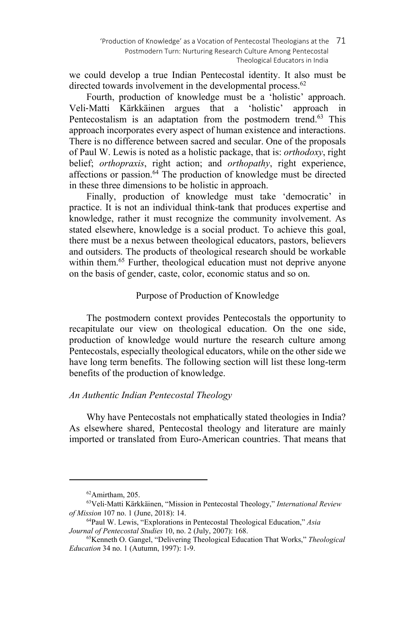we could develop a true Indian Pentecostal identity. It also must be directed towards involvement in the developmental process.<sup>62</sup>

Fourth, production of knowledge must be a 'holistic' approach. Veli‐Matti Kärkkäinen argues that a 'holistic' approach in Pentecostalism is an adaptation from the postmodern trend.<sup>63</sup> This approach incorporates every aspect of human existence and interactions. There is no difference between sacred and secular. One of the proposals of Paul W. Lewis is noted as a holistic package, that is: *orthodoxy*, right belief; *orthopraxis*, right action; and *orthopathy*, right experience, affections or passion.<sup>64</sup> The production of knowledge must be directed in these three dimensions to be holistic in approach.

Finally, production of knowledge must take 'democratic' in practice. It is not an individual think-tank that produces expertise and knowledge, rather it must recognize the community involvement. As stated elsewhere, knowledge is a social product. To achieve this goal, there must be a nexus between theological educators, pastors, believers and outsiders. The products of theological research should be workable within them.<sup>65</sup> Further, theological education must not deprive anyone on the basis of gender, caste, color, economic status and so on.

# Purpose of Production of Knowledge

The postmodern context provides Pentecostals the opportunity to recapitulate our view on theological education. On the one side, production of knowledge would nurture the research culture among Pentecostals, especially theological educators, while on the other side we have long term benefits. The following section will list these long-term benefits of the production of knowledge.

# *An Authentic Indian Pentecostal Theology*

Why have Pentecostals not emphatically stated theologies in India? As elsewhere shared, Pentecostal theology and literature are mainly imported or translated from Euro-American countries. That means that

<sup>62</sup>Amirtham, 205.

<sup>63</sup>Veli‐Matti Kärkkäinen, "Mission in Pentecostal Theology," *International Review* 

<sup>&</sup>lt;sup>64</sup>Paul W. Lewis, "Explorations in Pentecostal Theological Education," *Asia Journal of Pentecostal Studies* 10, no. 2 (July, 2007): 168.<br><sup>65</sup>Kenneth O. Gangel, "Delivering Theological Education That Works," *Theological* 

*Education* 34 no. 1 (Autumn, 1997): 1-9.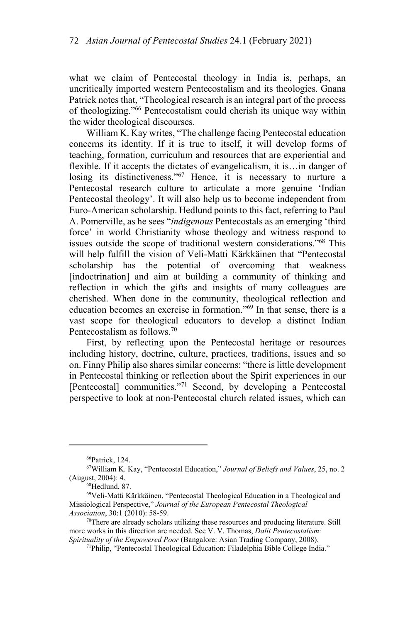what we claim of Pentecostal theology in India is, perhaps, an uncritically imported western Pentecostalism and its theologies. Gnana Patrick notes that, "Theological research is an integral part of the process of theologizing."66 Pentecostalism could cherish its unique way within the wider theological discourses.

William K. Kay writes, "The challenge facing Pentecostal education concerns its identity. If it is true to itself, it will develop forms of teaching, formation, curriculum and resources that are experiential and flexible. If it accepts the dictates of evangelicalism, it is…in danger of losing its distinctiveness."<sup>67</sup> Hence, it is necessary to nurture a Pentecostal research culture to articulate a more genuine 'Indian Pentecostal theology'. It will also help us to become independent from Euro-American scholarship. Hedlund points to this fact, referring to Paul A. Pomerville, as he sees "*indigenous* Pentecostals as an emerging 'third force' in world Christianity whose theology and witness respond to issues outside the scope of traditional western considerations."68 This will help fulfill the vision of Veli-Matti Kärkkäinen that "Pentecostal scholarship has the potential of overcoming that weakness [indoctrination] and aim at building a community of thinking and reflection in which the gifts and insights of many colleagues are cherished. When done in the community, theological reflection and education becomes an exercise in formation."69 In that sense, there is a vast scope for theological educators to develop a distinct Indian Pentecostalism as follows.70

First, by reflecting upon the Pentecostal heritage or resources including history, doctrine, culture, practices, traditions, issues and so on. Finny Philip also shares similar concerns: "there is little development in Pentecostal thinking or reflection about the Spirit experiences in our [Pentecostal] communities."<sup>71</sup> Second, by developing a Pentecostal perspective to look at non-Pentecostal church related issues, which can

<sup>66</sup>Patrick, 124.

<sup>67</sup>William K. Kay, "Pentecostal Education," *Journal of Beliefs and Values*, 25, no. 2 (August, 2004): 4.<br><sup>68</sup>Hedlund, 87.

<sup>69</sup>Veli-Matti Kärkkäinen, "Pentecostal Theological Education in a Theological and Missiological Perspective," *Journal of the European Pentecostal Theological* 

<sup>&</sup>lt;sup>70</sup>There are already scholars utilizing these resources and producing literature. Still more works in this direction are needed. See V. V. Thomas, *Dalit Pentecostalism:* 

*Spirituality of the Empowered Poor* (Bangalore: Asian Trading Company, 2008).<br><sup>71</sup>Philip, "Pentecostal Theological Education: Filadelphia Bible College India."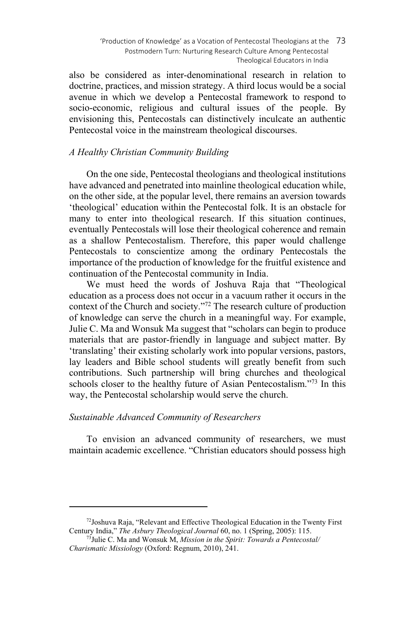also be considered as inter-denominational research in relation to doctrine, practices, and mission strategy. A third locus would be a social avenue in which we develop a Pentecostal framework to respond to socio-economic, religious and cultural issues of the people. By envisioning this, Pentecostals can distinctively inculcate an authentic Pentecostal voice in the mainstream theological discourses.

# *A Healthy Christian Community Building*

On the one side, Pentecostal theologians and theological institutions have advanced and penetrated into mainline theological education while, on the other side, at the popular level, there remains an aversion towards 'theological' education within the Pentecostal folk. It is an obstacle for many to enter into theological research. If this situation continues, eventually Pentecostals will lose their theological coherence and remain as a shallow Pentecostalism. Therefore, this paper would challenge Pentecostals to conscientize among the ordinary Pentecostals the importance of the production of knowledge for the fruitful existence and continuation of the Pentecostal community in India.

We must heed the words of Joshuva Raja that "Theological education as a process does not occur in a vacuum rather it occurs in the context of the Church and society."72 The research culture of production of knowledge can serve the church in a meaningful way. For example, Julie C. Ma and Wonsuk Ma suggest that "scholars can begin to produce materials that are pastor-friendly in language and subject matter. By 'translating' their existing scholarly work into popular versions, pastors, lay leaders and Bible school students will greatly benefit from such contributions. Such partnership will bring churches and theological schools closer to the healthy future of Asian Pentecostalism."<sup>73</sup> In this way, the Pentecostal scholarship would serve the church.

# *Sustainable Advanced Community of Researchers*

 $\overline{\phantom{a}}$ 

To envision an advanced community of researchers, we must maintain academic excellence. "Christian educators should possess high

 $72$ Joshuva Raja, "Relevant and Effective Theological Education in the Twenty First Century India," *The Asbury Theological Journal* 60, no. 1 (Spring, 2005): 115. 73Julie C. Ma and Wonsuk M, *Mission in the Spirit: Towards a Pentecostal/* 

*Charismatic Missiology* (Oxford: Regnum, 2010), 241.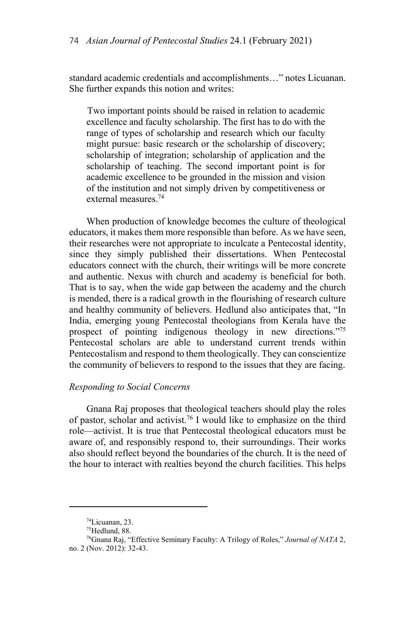standard academic credentials and accomplishments…" notes Licuanan. She further expands this notion and writes:

Two important points should be raised in relation to academic excellence and faculty scholarship. The first has to do with the range of types of scholarship and research which our faculty might pursue: basic research or the scholarship of discovery; scholarship of integration; scholarship of application and the scholarship of teaching. The second important point is for academic excellence to be grounded in the mission and vision of the institution and not simply driven by competitiveness or external measures.74

When production of knowledge becomes the culture of theological educators, it makes them more responsible than before. As we have seen, their researches were not appropriate to inculcate a Pentecostal identity, since they simply published their dissertations. When Pentecostal educators connect with the church, their writings will be more concrete and authentic. Nexus with church and academy is beneficial for both. That is to say, when the wide gap between the academy and the church is mended, there is a radical growth in the flourishing of research culture and healthy community of believers. Hedlund also anticipates that, "In India, emerging young Pentecostal theologians from Kerala have the prospect of pointing indigenous theology in new directions."75 Pentecostal scholars are able to understand current trends within Pentecostalism and respond to them theologically. They can conscientize the community of believers to respond to the issues that they are facing.

# *Responding to Social Concerns*

Gnana Raj proposes that theological teachers should play the roles of pastor, scholar and activist.<sup>76</sup> I would like to emphasize on the third role—activist. It is true that Pentecostal theological educators must be aware of, and responsibly respond to, their surroundings. Their works also should reflect beyond the boundaries of the church. It is the need of the hour to interact with realties beyond the church facilities. This helps

<sup>74</sup>Licuanan, 23.

<sup>75</sup>Hedlund, 88.

<sup>76</sup>Gnana Raj, "Effective Seminary Faculty: A Trilogy of Roles," *Journal of NATA* 2, no. 2 (Nov. 2012): 32-43.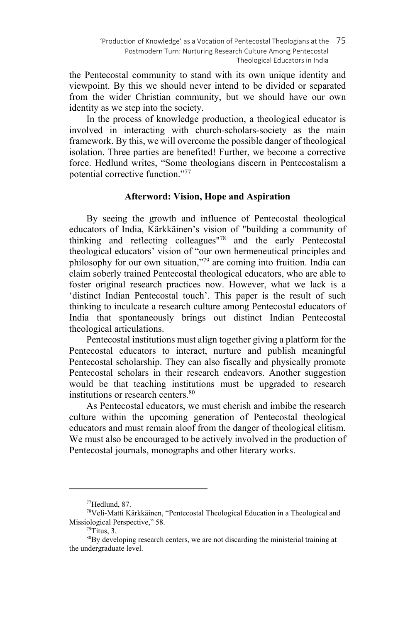the Pentecostal community to stand with its own unique identity and viewpoint. By this we should never intend to be divided or separated from the wider Christian community, but we should have our own identity as we step into the society.

In the process of knowledge production, a theological educator is involved in interacting with church-scholars-society as the main framework. By this, we will overcome the possible danger of theological isolation. Three parties are benefited! Further, we become a corrective force. Hedlund writes, "Some theologians discern in Pentecostalism a potential corrective function."77

# **Afterword: Vision, Hope and Aspiration**

By seeing the growth and influence of Pentecostal theological educators of India, Kärkkäinen's vision of "building a community of thinking and reflecting colleagues"78 and the early Pentecostal theological educators' vision of "our own hermeneutical principles and philosophy for our own situation,"79 are coming into fruition. India can claim soberly trained Pentecostal theological educators, who are able to foster original research practices now. However, what we lack is a 'distinct Indian Pentecostal touch'. This paper is the result of such thinking to inculcate a research culture among Pentecostal educators of India that spontaneously brings out distinct Indian Pentecostal theological articulations.

Pentecostal institutions must align together giving a platform for the Pentecostal educators to interact, nurture and publish meaningful Pentecostal scholarship. They can also fiscally and physically promote Pentecostal scholars in their research endeavors. Another suggestion would be that teaching institutions must be upgraded to research institutions or research centers.<sup>80</sup>

As Pentecostal educators, we must cherish and imbibe the research culture within the upcoming generation of Pentecostal theological educators and must remain aloof from the danger of theological elitism. We must also be encouraged to be actively involved in the production of Pentecostal journals, monographs and other literary works.

<sup>77</sup>Hedlund, 87.

<sup>78</sup>Veli-Matti Kärkkäinen, "Pentecostal Theological Education in a Theological and Missiological Perspective," 58.<br> $^{79}$ Titus, 3.

<sup>&</sup>lt;sup>80</sup>By developing research centers, we are not discarding the ministerial training at the undergraduate level.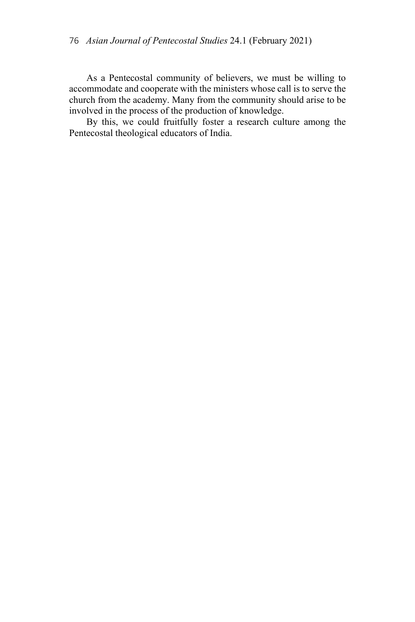As a Pentecostal community of believers, we must be willing to accommodate and cooperate with the ministers whose call is to serve the church from the academy. Many from the community should arise to be involved in the process of the production of knowledge.

By this, we could fruitfully foster a research culture among the Pentecostal theological educators of India.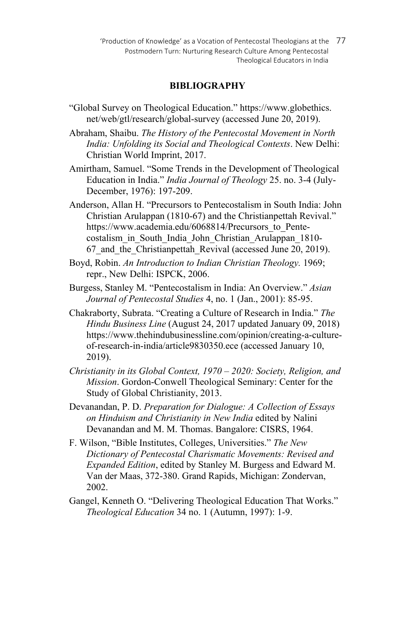'Production of Knowledge' as a Vocation of Pentecostal Theologians at the 77 Postmodern Turn: Nurturing Research Culture Among Pentecostal Theological Educators in India

### **BIBLIOGRAPHY**

- "Global Survey on Theological Education." https://www.globethics. net/web/gtl/research/global-survey (accessed June 20, 2019).
- Abraham, Shaibu. *The History of the Pentecostal Movement in North India: Unfolding its Social and Theological Contexts*. New Delhi: Christian World Imprint, 2017.
- Amirtham, Samuel. "Some Trends in the Development of Theological Education in India." *India Journal of Theology* 25. no. 3-4 (July-December, 1976): 197-209.
- Anderson, Allan H. "Precursors to Pentecostalism in South India: John Christian Arulappan (1810-67) and the Christianpettah Revival." https://www.academia.edu/6068814/Precursors to Pentecostalism\_in\_South\_India\_John\_Christian\_Arulappan\_1810- 67 and the Christianpettah Revival (accessed June 20, 2019).
- Boyd, Robin. *An Introduction to Indian Christian Theology.* 1969; repr., New Delhi: ISPCK, 2006.
- Burgess, Stanley M. "Pentecostalism in India: An Overview." *Asian Journal of Pentecostal Studies* 4, no. 1 (Jan., 2001): 85-95.
- Chakraborty, Subrata. "Creating a Culture of Research in India." *The Hindu Business Line* (August 24, 2017 updated January 09, 2018) https://www.thehindubusinessline.com/opinion/creating-a-cultureof-research-in-india/article9830350.ece (accessed January 10, 2019).
- *Christianity in its Global Context, 1970 2020: Society, Religion, and Mission*. Gordon-Conwell Theological Seminary: Center for the Study of Global Christianity, 2013.
- Devanandan, P. D. *Preparation for Dialogue: A Collection of Essays on Hinduism and Christianity in New India* edited by Nalini Devanandan and M. M. Thomas. Bangalore: CISRS, 1964.
- F. Wilson, "Bible Institutes, Colleges, Universities." *The New Dictionary of Pentecostal Charismatic Movements: Revised and Expanded Edition*, edited by Stanley M. Burgess and Edward M. Van der Maas, 372-380. Grand Rapids, Michigan: Zondervan, 2002.
- Gangel, Kenneth O. "Delivering Theological Education That Works." *Theological Education* 34 no. 1 (Autumn, 1997): 1-9.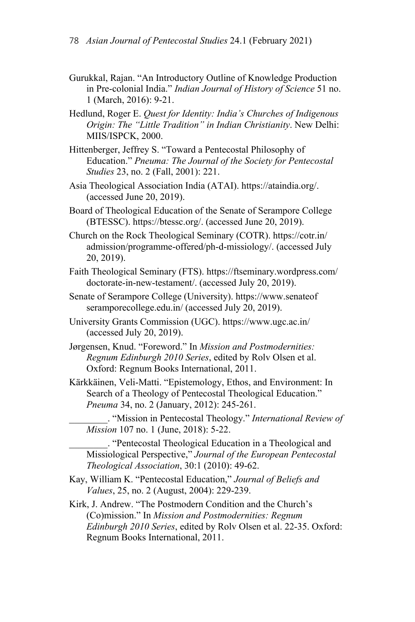- Gurukkal, Rajan. "An Introductory Outline of Knowledge Production in Pre-colonial India." *Indian Journal of History of Science* 51 no. 1 (March, 2016): 9-21.
- Hedlund, Roger E. *Quest for Identity: India's Churches of Indigenous Origin: The "Little Tradition" in Indian Christianity*. New Delhi: MIIS/ISPCK, 2000.
- Hittenberger, Jeffrey S. "Toward a Pentecostal Philosophy of Education." *Pneuma: The Journal of the Society for Pentecostal Studies* 23, no. 2 (Fall, 2001): 221.
- Asia Theological Association India (ATAI). https://ataindia.org/. (accessed June 20, 2019).
- Board of Theological Education of the Senate of Serampore College (BTESSC). https://btessc.org/. (accessed June 20, 2019).
- Church on the Rock Theological Seminary (COTR). https://cotr.in/ admission/programme-offered/ph-d-missiology/. (accessed July 20, 2019).
- Faith Theological Seminary (FTS). https://ftseminary.wordpress.com/ doctorate-in-new-testament/. (accessed July 20, 2019).
- Senate of Serampore College (University). https://www.senateof seramporecollege.edu.in/ (accessed July 20, 2019).
- University Grants Commission (UGC). https://www.ugc.ac.in/ (accessed July 20, 2019).
- Jørgensen, Knud. "Foreword." In *Mission and Postmodernities: Regnum Edinburgh 2010 Series*, edited by Rolv Olsen et al. Oxford: Regnum Books International, 2011.
- Kärkkäinen, Veli-Matti. "Epistemology, Ethos, and Environment: In Search of a Theology of Pentecostal Theological Education." *Pneuma* 34, no. 2 (January, 2012): 245-261.
	- \_\_\_\_\_\_\_\_. "Mission in Pentecostal Theology." *International Review of Mission* 107 no. 1 (June, 2018): 5-22.

\_\_\_\_\_\_\_\_. "Pentecostal Theological Education in a Theological and Missiological Perspective," *Journal of the European Pentecostal Theological Association*, 30:1 (2010): 49-62.

- Kay, William K. "Pentecostal Education," *Journal of Beliefs and Values*, 25, no. 2 (August, 2004): 229-239.
- Kirk, J. Andrew. "The Postmodern Condition and the Church's (Co)mission." In *Mission and Postmodernities: Regnum Edinburgh 2010 Series*, edited by Rolv Olsen et al. 22-35. Oxford: Regnum Books International, 2011.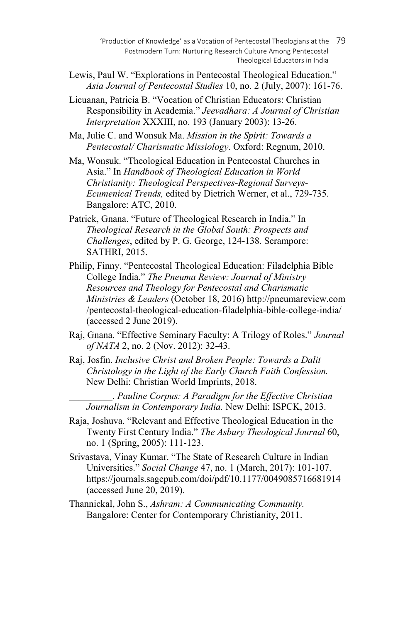- 'Production of Knowledge' as a Vocation of Pentecostal Theologians at the 79 Postmodern Turn: Nurturing Research Culture Among Pentecostal Theological Educators in India
- Lewis, Paul W. "Explorations in Pentecostal Theological Education." *Asia Journal of Pentecostal Studies* 10, no. 2 (July, 2007): 161-76.
- Licuanan, Patricia B. "Vocation of Christian Educators: Christian Responsibility in Academia." *Jeevadhara: A Journal of Christian Interpretation* XXXIII, no. 193 (January 2003): 13-26.

Ma, Julie C. and Wonsuk Ma. *Mission in the Spirit: Towards a Pentecostal/ Charismatic Missiology*. Oxford: Regnum, 2010.

- Ma, Wonsuk. "Theological Education in Pentecostal Churches in Asia." In *Handbook of Theological Education in World Christianity: Theological Perspectives-Regional Surveys-Ecumenical Trends,* edited by Dietrich Werner, et al., 729-735. Bangalore: ATC, 2010.
- Patrick, Gnana. "Future of Theological Research in India." In *Theological Research in the Global South: Prospects and Challenges*, edited by P. G. George, 124-138. Serampore: SATHRI, 2015.
- Philip, Finny. "Pentecostal Theological Education: Filadelphia Bible College India." *The Pneuma Review: Journal of Ministry Resources and Theology for Pentecostal and Charismatic Ministries & Leaders* (October 18, 2016) http://pneumareview.com /pentecostal-theological-education-filadelphia-bible-college-india/ (accessed 2 June 2019).
- Raj, Gnana. "Effective Seminary Faculty: A Trilogy of Roles." *Journal of NATA* 2, no. 2 (Nov. 2012): 32-43.
- Raj, Josfin. *Inclusive Christ and Broken People: Towards a Dalit Christology in the Light of the Early Church Faith Confession.*  New Delhi: Christian World Imprints, 2018.

\_\_\_\_\_\_\_\_\_. *Pauline Corpus: A Paradigm for the Effective Christian Journalism in Contemporary India.* New Delhi: ISPCK, 2013.

- Raja, Joshuva. "Relevant and Effective Theological Education in the Twenty First Century India." *The Asbury Theological Journal* 60, no. 1 (Spring, 2005): 111-123.
- Srivastava, Vinay Kumar. "The State of Research Culture in Indian Universities." *Social Change* 47, no. 1 (March, 2017): 101-107. https://journals.sagepub.com/doi/pdf/10.1177/0049085716681914 (accessed June 20, 2019).
- Thannickal, John S., *Ashram: A Communicating Community.*  Bangalore: Center for Contemporary Christianity, 2011.